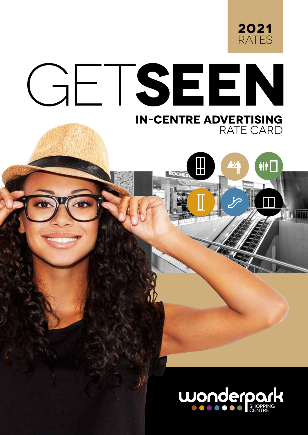

 $\hat{r}$ 

**DATITION** 

# GET**SEEN**

or bookings please contact: TIISETSO MASHIANE tmashiane@broll.com 012 549 1690

# **IN-CENTRE ADVERTISING** RATE CARD

Ш

**CCLE** 

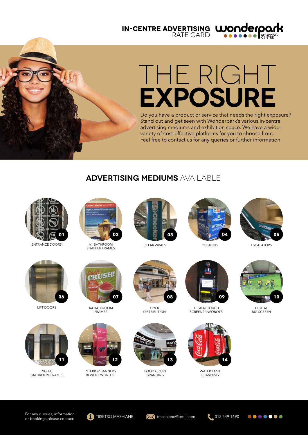**IN-CENTRE ADVERTISING** RATE CARD



# THE RIGHT **EXPOSURE**

Do you have a product or service that needs the right exposure? Stand out and get seen with Wonderpark's various in-centre advertising mediums and exhibition space. We have a wide variety of cost-effective platforms for you to choose from. Feel free to contact us for any queries or further information.

#### **ADVERTISING MEDIUMS** AVAILABLE



ENTRANCE DOORS



A1 BATHROOM SNAPPER FRAMES



PILLAR WRAPS



DUSTBINS



ESCALATORS



LIFT DOORS





INTERIOR BANNERS @ WOOLWORTHS



**FLYER DISTRIBUTION** 



FOOD COURT **BRANDING** 



DIGITAL TOUCH SCREENS 'INFOBOTS'



WATER TANK **BRANDING** 



DIGITAL **BIG SCREEN** 

.......

DIGITAL BATHROOM FRAMES

**11**

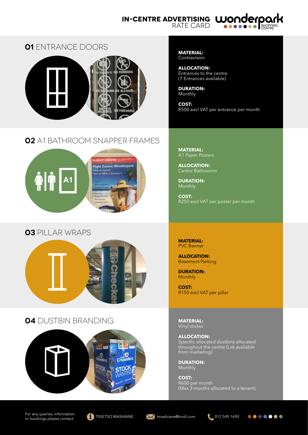#### **IN-CENTRE ADVERTISING**

RATE CARD



#### **01** ENTRANCE DOORS



# **02** A1 BATHROOM SNAPPER FRAMES



# **03** PILLAR WRAPS



# **04** DUSTBIN BRANDING **MATERIAL:**



#### For any queries, information For any queries, information<br>or bookings please contact: **THE TIISETSO MASHIANE** tmashiane@broll.com **012 549 1690**









**MATERIAL:** Contravision

**ALLOCATION:** Entrances to the centre. (7 Entrances available)

**DURATION:** Monthly

**COST:** R500 excl VAT per entrance per month

**MATERIAL:** A1 Paper Posters

**ALLOCATION:** Centre Bathrooms

**DURATION:** Monthly

**COST:** R250 excl VAT per poster per month

**MATERIAL:** PVC Banner

**ALLOCATION:** Basement Parking

**DURATION:** Monthly

**COST:** R150 excl VAT per pillar

Vinyl sticker

**ALLOCATION:** Specific allocated dustbins allocated throughout the centre (List available from marketing)

**DURATION:** Monthly

**COST:** R600 per month (Max 3 months allocated to a tenant)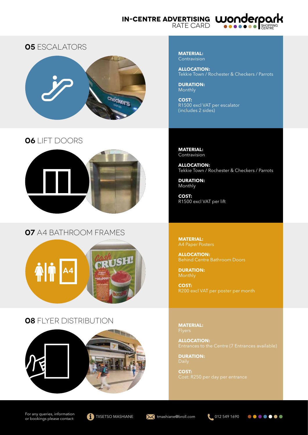#### **IN-CENTRE ADVERTISING** RATE CARD





# **06** LIFT DOORS



# **07** A4 BATHROOM FRAMES



# **08** FLYER DISTRIBUTION



**MATERIAL:** Contravision

**ALLOCATION:** Tekkie Town / Rochester & Checkers / Parrots

**DURATION:** Monthly

**COST:** R1500 excl VAT per escalator (includes 2 sides)

**MATERIAL:** Contravision

**ALLOCATION:** Tekkie Town / Rochester & Checkers / Parrots

**DURATION:** Monthly

**COST:** R1500 excl VAT per lift

**MATERIAL:** A4 Paper Posters

**ALLOCATION:**

**DURATION:**

**COST:** R200 excl VAT per poster per month

**MATERIAL:**

**ALLOCATION:**

**DURATION:**

**COST:**

For any queries, information For any queries, information<br>or bookings please contact: **THE TIISETSO MASHIANE** tmashiane@broll.com **012 549 1690** 





.......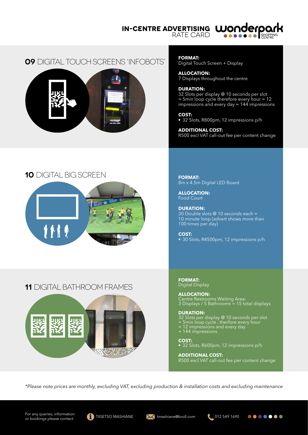**IN-CENTRE ADVERTISING WONDERPO** RATE CARD



#### **09** DIGITAL TOUCH SCREENS 'INFOBOTS'



#### **10** DIGITAL BIG SCREEN



**FORMAT:**

Digital Touch Screen + Display

**ALLOCATION:** 7 Displays throughout the centre

#### **DURATION:**

32 Slots per display @ 10 seconds per slot = 5min loop cycle therefore every hour = 12 impressions and every day = 144 impressions

**COST:** • 32 Slots, R800pm, 12 impressions p/h

**ADDITIONAL COST:** R500 excl VAT call-out fee per content change

**FORMAT:** 8m x 4.5m Digital LED Board

**ALLOCATION:** Food Court

**DURATION:** 30 Double slots @ 10 seconds each = 10 minute loop (advert shows more than 100 times per day)

**COST:** • 30 Slots, R4500pm, 12 impressions p/h

**FORMAT:** Digital Display

**ALLOCATION:** Centre Restrooms Waiting Area: 3 Displays / 5 Bathrooms = 15 total displays

**DURATION:** 32 Slots per display @ 10 seconds per slot = 5min loop cycle , therfore every hour = 12 impressions and every day = 144 impressions

**COST:** • 32 Slots, R600pm, 12 impressions p/h

**ADDITIONAL COST:** R500 excl VAT call-out fee per content change

*\*Please note prices are monthly, excluding VAT, excluding production & installation costs and excluding maintenance*

# **11** DIGITAL BATHROOM FRAMES









 $0000000$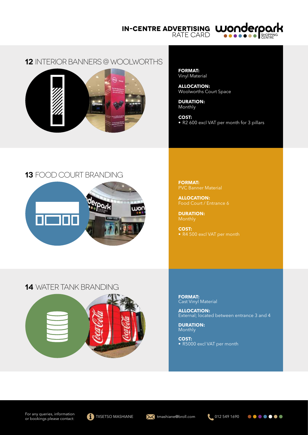**IN-CENTRE ADVERTISING** RATE CARD



#### **12** INTERIOR BANNERS @ WOOLWORTHS



**FORMAT:** Vinyl Material

**ALLOCATION:** Woolworths Court Space

**DURATION:** Monthly

**COST:** • R2 600 excl VAT per month for 3 pillars

# **13** FOOD COURT BRANDING



**FORMAT:** PVC Banner Material

**ALLOCATION:**

**DURATION:**

**COST:** • R4 500 excl VAT per month

#### **14** WATER TANK BRANDING



**FORMAT:** Cast Vinyl Material

**ALLOCATION:** External; located between entrance 3 and 4

**DURATION: Monthly** 

**COST:** • R5000 excl VAT per month



.......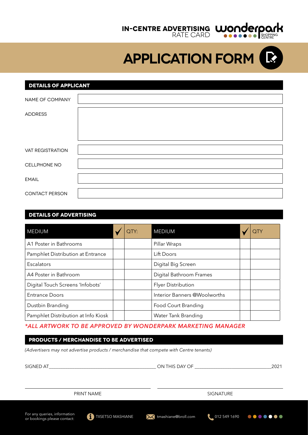

**APPLICATION FORM**

#### **DETAILS OF APPLICANT**

| NAME OF COMPANY         |  |
|-------------------------|--|
| <b>ADDRESS</b>          |  |
|                         |  |
|                         |  |
| <b>VAT REGISTRATION</b> |  |
| CELLPHONE NO            |  |
| <b>EMAIL</b>            |  |
| <b>CONTACT PERSON</b>   |  |

#### **DETAILS OF ADVERTISING**

| <b>MEDIUM</b>                       |  | QTY: | <b>MEDIUM</b>                |  |  |
|-------------------------------------|--|------|------------------------------|--|--|
| A1 Poster in Bathrooms              |  |      | Pillar Wraps                 |  |  |
| Pamphlet Distribution at Entrance   |  |      | Lift Doors                   |  |  |
| Escalators                          |  |      | Digital Big Screen           |  |  |
| A4 Poster in Bathroom               |  |      | Digital Bathroom Frames      |  |  |
| Digital Touch Screens 'Infobots'    |  |      | <b>Flyer Distribution</b>    |  |  |
| <b>Entrance Doors</b>               |  |      | Interior Banners @Woolworths |  |  |
| Dustbin Branding                    |  |      | Food Court Branding          |  |  |
| Pamphlet Distribution at Info Kiosk |  |      | Water Tank Branding          |  |  |

#### *\*ALL ARTWORK TO BE APPROVED BY WONDERPARK MARKETING MANAGER*

# **products / merchandise to be advertised**

*(Advertisers may not advertise products / merchandise that compete with Centre tenants)*

| SIGNED AT                                                   |                          |  | ON THIS DAY OF      |  | 2021                 |  |
|-------------------------------------------------------------|--------------------------|--|---------------------|--|----------------------|--|
|                                                             |                          |  |                     |  |                      |  |
| PRINT NAME                                                  |                          |  | <b>SIGNATURE</b>    |  |                      |  |
| For any queries, information<br>or bookings please contact: | <b>TIISETSO MASHIANE</b> |  | tmashiane@broll.com |  | 1.0125491690 ●●●●●●● |  |